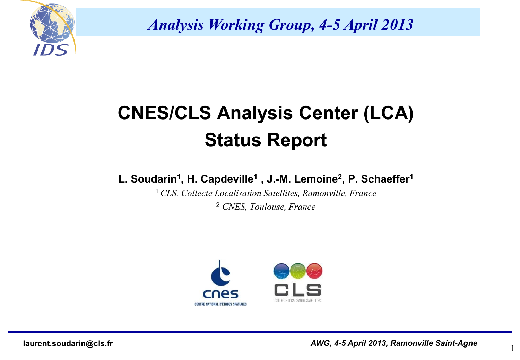

*Analysis Working Group, 4-5 April 2013*

## **CNES/CLS Analysis Center (LCA) Status Report**

**L. Soudarin<sup>1</sup> , H. Capdeville<sup>1</sup> , J.-M. Lemoine<sup>2</sup> , P. Schaeffer<sup>1</sup>**

<sup>1</sup>*CLS, Collecte Localisation Satellites, Ramonville, France* <sup>2</sup> *CNES, Toulouse, France*



1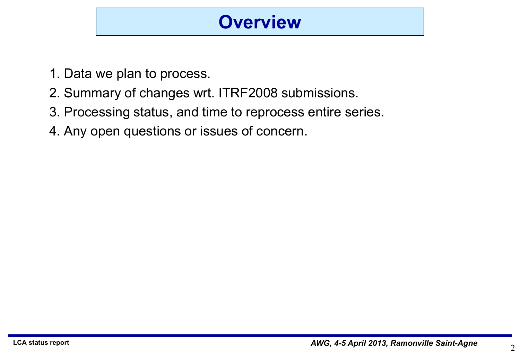#### **Overview**

- 1. Data we plan to process.
- 2. Summary of changes wrt. ITRF2008 submissions.
- 3. Processing status, and time to reprocess entire series.
- 4. Any open questions or issues of concern.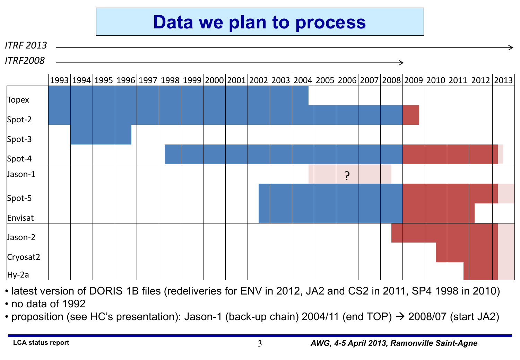#### **Data we plan to process**

#### *ITRF 2013*

*ITRF2008*

|              |  |  | 1993 1994 1995 1996 1997 1998 1999 2000 2001 2002 2003 2004 2005 2006 2007 2008 2009 2010 2011 2012 2013 |  |  |  |   |  |  |  |  |
|--------------|--|--|----------------------------------------------------------------------------------------------------------|--|--|--|---|--|--|--|--|
| <b>Topex</b> |  |  |                                                                                                          |  |  |  |   |  |  |  |  |
| Spot-2       |  |  |                                                                                                          |  |  |  |   |  |  |  |  |
| Spot-3       |  |  |                                                                                                          |  |  |  |   |  |  |  |  |
| Spot-4       |  |  |                                                                                                          |  |  |  |   |  |  |  |  |
| Jason-1      |  |  |                                                                                                          |  |  |  | ? |  |  |  |  |
| Spot-5       |  |  |                                                                                                          |  |  |  |   |  |  |  |  |
| Envisat      |  |  |                                                                                                          |  |  |  |   |  |  |  |  |
| Jason-2      |  |  |                                                                                                          |  |  |  |   |  |  |  |  |
| Cryosat2     |  |  |                                                                                                          |  |  |  |   |  |  |  |  |
| $Hy-2a$      |  |  |                                                                                                          |  |  |  |   |  |  |  |  |

- latest version of DORIS 1B files (redeliveries for ENV in 2012, JA2 and CS2 in 2011, SP4 1998 in 2010)
- no data of 1992
- proposition (see HC's presentation): Jason-1 (back-up chain) 2004/11 (end TOP)  $\rightarrow$  2008/07 (start JA2)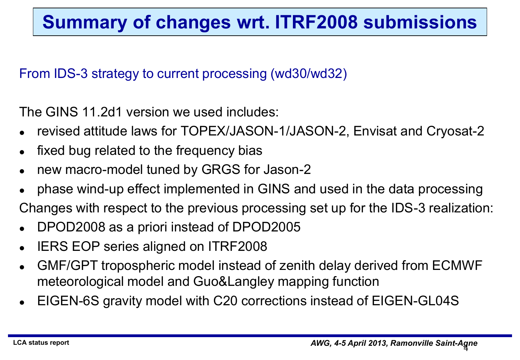#### **Summary of changes wrt. ITRF2008 submissions**

#### From IDS-3 strategy to current processing (wd30/wd32)

The GINS 11.2d1 version we used includes:

- revised attitude laws for TOPEX/JASON-1/JASON-2, Envisat and Cryosat-2
- fixed bug related to the frequency bias
- new macro-model tuned by GRGS for Jason-2
- phase wind-up effect implemented in GINS and used in the data processing

Changes with respect to the previous processing set up for the IDS-3 realization:

- DPOD2008 as a priori instead of DPOD2005
- IERS EOP series aligned on ITRF2008
- GMF/GPT tropospheric model instead of zenith delay derived from ECMWF meteorological model and Guo&Langley mapping function
- EIGEN-6S gravity model with C20 corrections instead of EIGEN-GL04S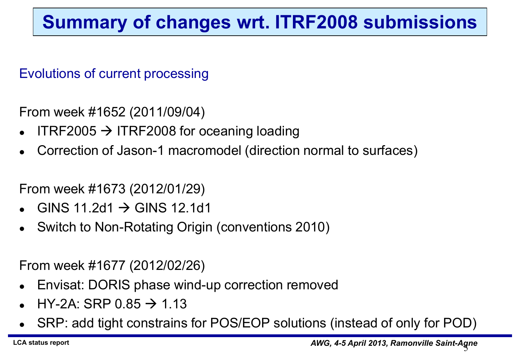#### **Summary of changes wrt. ITRF2008 submissions**

Evolutions of current processing

From week #1652 (2011/09/04)

- ITRF2005  $\rightarrow$  ITRF2008 for oceaning loading
- Correction of Jason-1 macromodel (direction normal to surfaces)

From week #1673 (2012/01/29)

- GINS 11.2d1  $\rightarrow$  GINS 12.1d1
- Switch to Non-Rotating Origin (conventions 2010)

From week #1677 (2012/02/26)

- Envisat: DORIS phase wind-up correction removed
- $HY-2A:$  SRP  $0.85 \rightarrow 1.13$
- SRP: add tight constrains for POS/EOP solutions (instead of only for POD)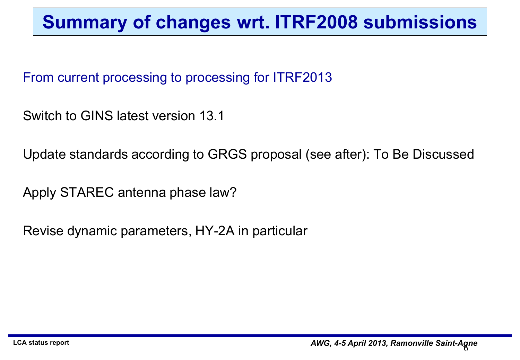#### **Summary of changes wrt. ITRF2008 submissions**

From current processing to processing for ITRF2013

Switch to GINS latest version 13.1

Update standards according to GRGS proposal (see after): To Be Discussed

Apply STAREC antenna phase law?

Revise dynamic parameters, HY-2A in particular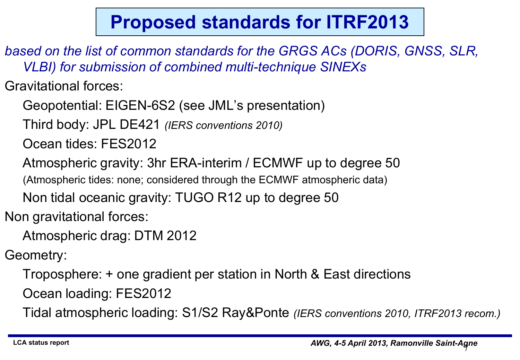### **Proposed standards for ITRF2013**

*based on the list of common standards for the GRGS ACs (DORIS, GNSS, SLR, VLBI) for submission of combined multi-technique SINEXs*

Gravitational forces:

Geopotential: EIGEN-6S2 (see JML's presentation)

Third body: JPL DE421 *(IERS conventions 2010)*

Ocean tides: FES2012

Atmospheric gravity: 3hr ERA-interim / ECMWF up to degree 50

(Atmospheric tides: none; considered through the ECMWF atmospheric data)

Non tidal oceanic gravity: TUGO R12 up to degree 50

Non gravitational forces:

Atmospheric drag: DTM 2012

Geometry:

Troposphere: + one gradient per station in North & East directions Ocean loading: FES2012

Tidal atmospheric loading: S1/S2 Ray&Ponte *(IERS conventions 2010, ITRF2013 recom.)*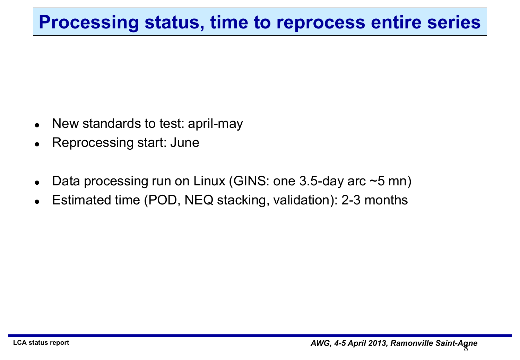#### **Processing status, time to reprocess entire series**

- New standards to test: april-may
- Reprocessing start: June
- Data processing run on Linux (GINS: one 3.5-day arc ~5 mn)
- Estimated time (POD, NEQ stacking, validation): 2-3 months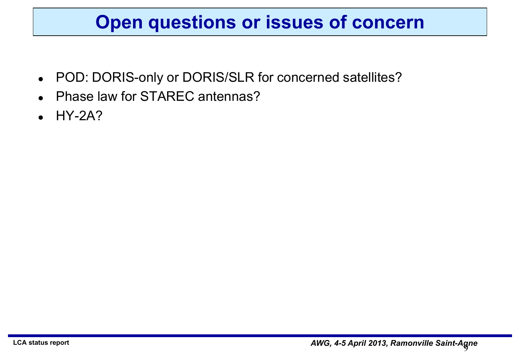#### **Open questions or issues of concern**

- POD: DORIS-only or DORIS/SLR for concerned satellites?
- Phase law for STAREC antennas?
- HY-2A?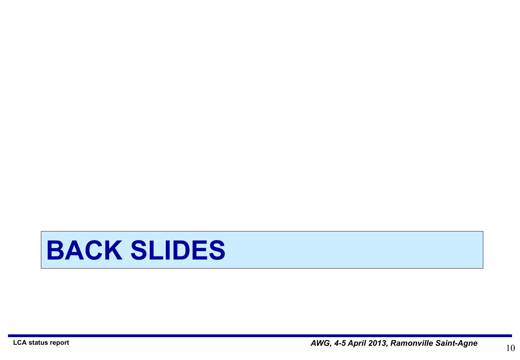# **BACK SLIDES**